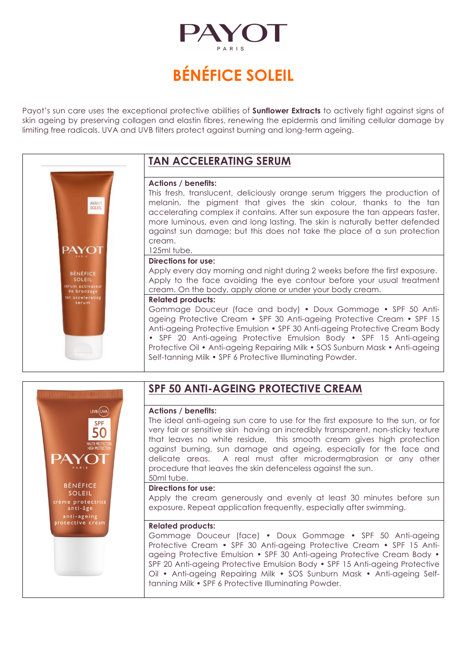

## **BÉNÉFICE SOLEIL**

Payot's sun care uses the exceptional protective abilities of **Sunflower Extracts** to actively fight against signs of skin ageing by preserving collagen and elastin fibres, renewing the epidermis and limiting cellular damage by limiting free radicals. UVA and UVB filters protect against burning and long-term ageing.

## **TAN ACCELERATING SERUM**

#### **Actions / benefits:**

This fresh, translucent, deliciously orange serum triggers the production of melanin, the pigment that gives the skin colour, thanks to the tan accelerating complex it contains. After sun exposure the tan appears faster, more luminous, even and long lasting. The skin is naturally better defended against sun damage; but this does not take the place of a sun protection cream.

#### 125ml tube. **Directions for use:**

Apply every day morning and night during 2 weeks before the first exposure. Apply to the face avoiding the eye contour before your usual treatment cream. On the body, apply alone or under your body cream.

#### **Related products:**

Gommage Douceur (face and body) • Doux Gommage • SPF 50 Antiageing Protective Cream • SPF 30 Anti-ageing Protective Cream • SPF 15 Anti-ageing Protective Emulsion • SPF 30 Anti-ageing Protective Cream Body • SPF 20 Anti-ageing Protective Emulsion Body • SPF 15 Anti-ageing Protective Oil • Anti-ageing Repairing Milk • SOS Sunburn Mask • Anti-ageing Self-tanning Milk • SPF 6 Protective Illuminating Powder.



AVANT

PAYOT

BÉNÉFICE<br>SOLEIL n activate<br>bronzage accelerating

## **SPF 50 ANTI-AGEING PROTECTIVE CREAM**

#### **Actions / benefits:**

The ideal anti-ageing sun care to use for the first exposure to the sun, or for very fair or sensitive skin having an incredibly transparent, non-sticky texture that leaves no white residue, this smooth cream gives high protection against burning, sun damage and ageing, especially for the face and delicate areas. A real must after microdermabrasion or any other procedure that leaves the skin defenceless against the sun. 50ml tube.

#### **Directions for use:**

Apply the cream generously and evenly at least 30 minutes before sun exposure. Repeat application frequently, especially after swimming.

#### **Related products:**

Gommage Douceur (face) • Doux Gommage • SPF 50 Anti-ageing Protective Cream • SPF 30 Anti-ageing Protective Cream • SPF 15 Antiageing Protective Emulsion • SPF 30 Anti-ageing Protective Cream Body • SPF 20 Anti-ageing Protective Emulsion Body • SPF 15 Anti-ageing Protective Oil • Anti-ageing Repairing Milk • SOS Sunburn Mask • Anti-ageing Selftanning Milk • SPF 6 Protective Illuminating Powder.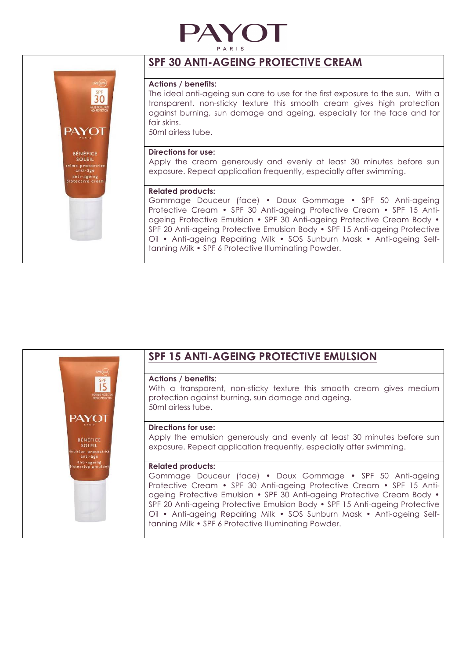



## **SPF 30 ANTI-AGEING PROTECTIVE CREAM**

#### **Actions / benefits:**

The ideal anti-ageing sun care to use for the first exposure to the sun. With a transparent, non-sticky texture this smooth cream gives high protection against burning, sun damage and ageing, especially for the face and for fair skins.

50ml airless tube.

#### **Directions for use:**

Apply the cream generously and evenly at least 30 minutes before sun exposure. Repeat application frequently, especially after swimming.

#### **Related products:**

Gommage Douceur (face) • Doux Gommage • SPF 50 Anti-ageing Protective Cream • SPF 30 Anti-ageing Protective Cream • SPF 15 Antiageing Protective Emulsion • SPF 30 Anti-ageing Protective Cream Body • SPF 20 Anti-ageing Protective Emulsion Body • SPF 15 Anti-ageing Protective Oil • Anti-ageing Repairing Milk • SOS Sunburn Mask • Anti-ageing Selftanning Milk • SPF 6 Protective Illuminating Powder.

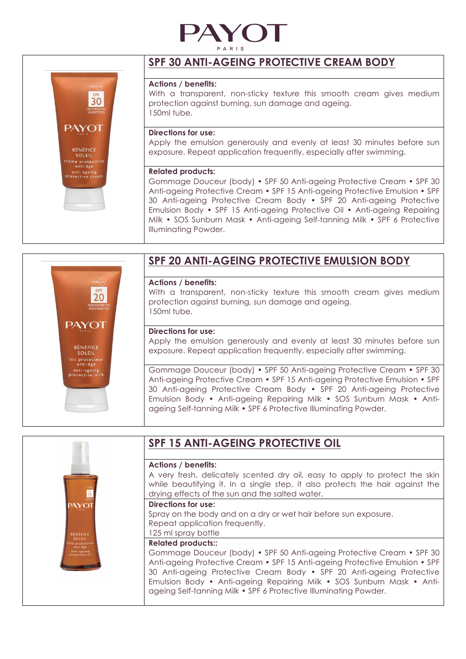



## **SPF 30 ANTI-AGEING PROTECTIVE CREAM BODY**

#### **Actions / benefits:**

With a transparent, non-sticky texture this smooth cream gives medium protection against burning, sun damage and ageing. 150ml tube.

#### **Directions for use:**

Apply the emulsion generously and evenly at least 30 minutes before sun exposure. Repeat application frequently, especially after swimming.

#### **Related products:**

Gommage Douceur (body) • SPF 50 Anti-ageing Protective Cream • SPF 30 Anti-ageing Protective Cream • SPF 15 Anti-ageing Protective Emulsion • SPF 30 Anti-ageing Protective Cream Body • SPF 20 Anti-ageing Protective Emulsion Body • SPF 15 Anti-ageing Protective Oil • Anti-ageing Repairing Milk • SOS Sunburn Mask • Anti-ageing Self-tanning Milk • SPF 6 Protective Illuminating Powder.

# 20 **PAYOT** BÉNÉFICE **SOLEIL** lait protecteu<br>anti-âge anti-ageing<br>rotective milk

## **SPF 20 ANTI-AGEING PROTECTIVE EMULSION BODY**

#### **Actions / benefits:**

With a transparent, non-sticky texture this smooth cream gives medium protection against burning, sun damage and ageing. 150ml tube.

#### **Directions for use:**

Apply the emulsion generously and evenly at least 30 minutes before sun exposure. Repeat application frequently, especially after swimming.

Gommage Douceur (body) • SPF 50 Anti-ageing Protective Cream • SPF 30 Anti-ageing Protective Cream • SPF 15 Anti-ageing Protective Emulsion • SPF 30 Anti-ageing Protective Cream Body • SPF 20 Anti-ageing Protective Emulsion Body • Anti-ageing Repairing Milk • SOS Sunburn Mask • Antiageing Self-tanning Milk • SPF 6 Protective Illuminating Powder.

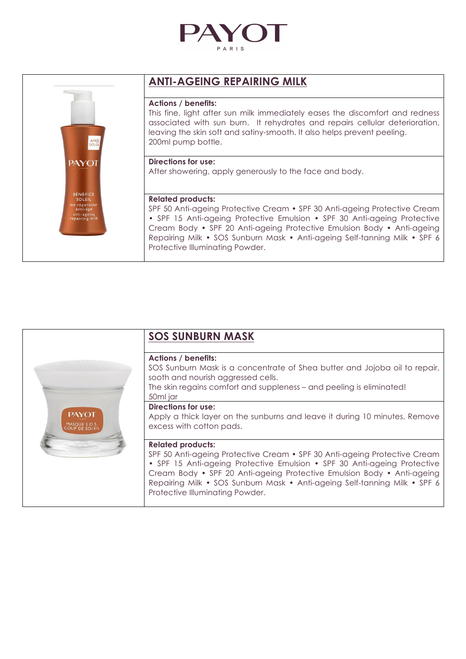